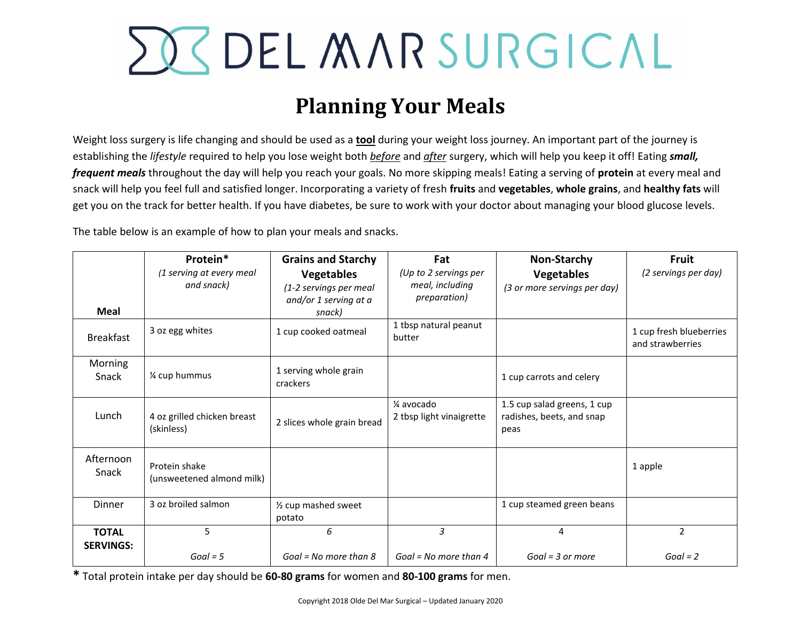## **SCC DEL MARSURGICAL**

## **Planning Your Meals**

Weight loss surgery is life changing and should be used as a **tool** during your weight loss journey. An important part of the journey is establishing the *lifestyle* required to help you lose weight both *before* and *after* surgery, which will help you keep it off! Eating *small, frequent meals* throughout the day will help you reach your goals. No more skipping meals! Eating a serving of **protein** at every meal and snack will help you feel full and satisfied longer. Incorporating a variety of fresh **fruits** and **vegetables**, **whole grains**, and **healthy fats** will get you on the track for better health. If you have diabetes, be sure to work with your doctor about managing your blood glucose levels.

The table below is an example of how to plan your meals and snacks.

|                                  | Protein*<br>(1 serving at every meal       | <b>Grains and Starchy</b><br><b>Vegetables</b>            | Fat<br>(Up to 2 servings per            | Non-Starchy<br><b>Vegetables</b>                                 | <b>Fruit</b><br>(2 servings per day)        |
|----------------------------------|--------------------------------------------|-----------------------------------------------------------|-----------------------------------------|------------------------------------------------------------------|---------------------------------------------|
| Meal                             | and snack)                                 | (1-2 servings per meal<br>and/or 1 serving at a<br>snack) | meal, including<br>preparation)         | (3 or more servings per day)                                     |                                             |
| <b>Breakfast</b>                 | 3 oz egg whites                            | 1 cup cooked oatmeal                                      | 1 tbsp natural peanut<br>butter         |                                                                  | 1 cup fresh blueberries<br>and strawberries |
| Morning<br>Snack                 | 1⁄4 cup hummus                             | 1 serving whole grain<br>crackers                         |                                         | 1 cup carrots and celery                                         |                                             |
| Lunch                            | 4 oz grilled chicken breast<br>(skinless)  | 2 slices whole grain bread                                | 1⁄4 avocado<br>2 tbsp light vinaigrette | 1.5 cup salad greens, 1 cup<br>radishes, beets, and snap<br>peas |                                             |
| Afternoon<br>Snack               | Protein shake<br>(unsweetened almond milk) |                                                           |                                         |                                                                  | 1 apple                                     |
| Dinner                           | 3 oz broiled salmon                        | 1/2 cup mashed sweet<br>potato                            |                                         | 1 cup steamed green beans                                        |                                             |
| <b>TOTAL</b><br><b>SERVINGS:</b> | 5                                          | 6                                                         | 3                                       | 4                                                                | $\overline{2}$                              |
|                                  | $Goal = 5$                                 | Goal = No more than $8$                                   | Goal = No more than $4$                 | $Goal = 3$ or more                                               | $Goal = 2$                                  |

**\*** Total protein intake per day should be **60-80 grams** for women and **80-100 grams** for men.